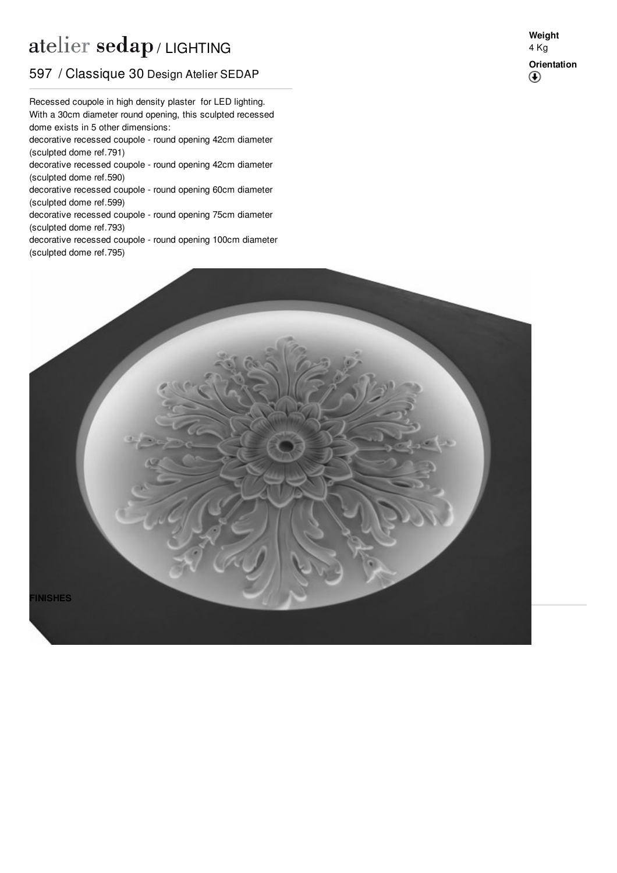## atelier sedap / LIGHTING

## 597 / Classique 30 Design Atelier SEDAP

With a 30cm diameter round opening, this sculpted recessed Recessed coupole in high density plaster for LED lighting. dome exists in 5 other dimensions:

decorative recessed coupole - round opening 42cm diameter (sculpted dome ref[.791](http://www.sedap.com/lighting/en/produits/view/791))

decorative recessed coupole - round opening 42cm diameter (sculpted dome ref[.590](http://www.sedap.com/lighting/en/produits/view/590))

decorative recessed coupole - round opening 60cm diameter (sculpted dome ref[.599](http://www.sedap.com/lighting/en/produits/view/599))

decorative recessed coupole - round opening 75cm diameter (sculpted dome ref[.793](http://www.sedap.com/lighting/en/produits/view/793))

decorative recessed coupole - round opening 100cm diameter (sculpted dome ref[.795](http://www.sedap.com/lighting/en/produits/view/795))